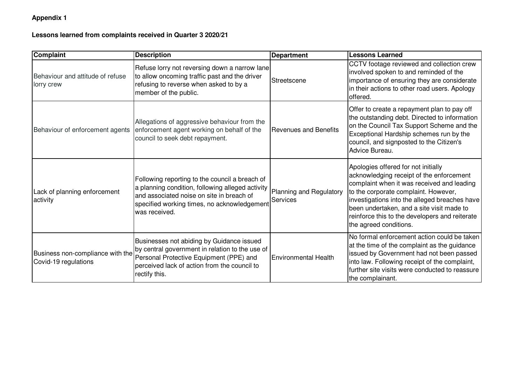## **Appendix 1**

## **Lessons learned from complaints received in Quarter 3 2020/21**

| Complaint                                                | <b>Description</b>                                                                                                                                                                                              | <b>Department</b>                   | <b>Lessons Learned</b>                                                                                                                                                                                                                                                                                                                          |
|----------------------------------------------------------|-----------------------------------------------------------------------------------------------------------------------------------------------------------------------------------------------------------------|-------------------------------------|-------------------------------------------------------------------------------------------------------------------------------------------------------------------------------------------------------------------------------------------------------------------------------------------------------------------------------------------------|
| Behaviour and attitude of refuse<br>lorry crew           | Refuse lorry not reversing down a narrow lane<br>to allow oncoming traffic past and the driver<br>refusing to reverse when asked to by a<br>member of the public.                                               | Streetscene                         | CCTV footage reviewed and collection crew<br>involved spoken to and reminded of the<br>importance of ensuring they are considerate<br>in their actions to other road users. Apology<br>offered.                                                                                                                                                 |
| Behaviour of enforcement agents                          | Allegations of aggressive behaviour from the<br>enforcement agent working on behalf of the<br>council to seek debt repayment.                                                                                   | <b>Revenues and Benefits</b>        | Offer to create a repayment plan to pay off<br>the outstanding debt. Directed to information<br>on the Council Tax Support Scheme and the<br>Exceptional Hardship schemes run by the<br>council, and signposted to the Citizen's<br>Advice Bureau.                                                                                              |
| Lack of planning enforcement<br>activity                 | Following reporting to the council a breach of<br>a planning condition, following alleged activity<br>and associated noise on site in breach of<br>specified working times, no acknowledgement<br>was received. | Planning and Regulatory<br>Services | Apologies offered for not initially<br>acknowledging receipt of the enforcement<br>complaint when it was received and leading<br>to the corporate complaint. However,<br>investigations into the alleged breaches have<br>been undertaken, and a site visit made to<br>reinforce this to the developers and reiterate<br>the agreed conditions. |
| Business non-compliance with the<br>Covid-19 regulations | Businesses not abiding by Guidance issued<br>by central government in relation to the use of<br>Personal Protective Equipment (PPE) and<br>perceived lack of action from the council to<br>rectify this.        | <b>Environmental Health</b>         | No formal enforcement action could be taken<br>at the time of the complaint as the guidance<br>issued by Government had not been passed<br>into law. Following receipt of the complaint,<br>further site visits were conducted to reassure<br>the complainant.                                                                                  |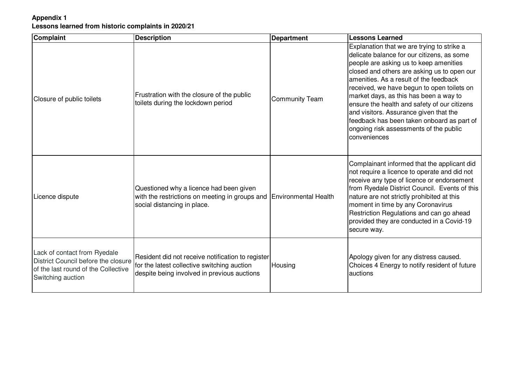## **Appendix 1Lessons learned from historic complaints in 2020/21**

| Complaint                                                                                                                       | <b>Description</b>                                                                                                                              | <b>Department</b>           | <b>Lessons Learned</b>                                                                                                                                                                                                                                                                                                                                                                                                                                                                                                |
|---------------------------------------------------------------------------------------------------------------------------------|-------------------------------------------------------------------------------------------------------------------------------------------------|-----------------------------|-----------------------------------------------------------------------------------------------------------------------------------------------------------------------------------------------------------------------------------------------------------------------------------------------------------------------------------------------------------------------------------------------------------------------------------------------------------------------------------------------------------------------|
| Closure of public toilets                                                                                                       | Frustration with the closure of the public<br>toilets during the lockdown period                                                                | <b>Community Team</b>       | Explanation that we are trying to strike a<br>delicate balance for our citizens, as some<br>people are asking us to keep amenities<br>closed and others are asking us to open our<br>amenities. As a result of the feedback<br>received, we have begun to open toilets on<br>market days, as this has been a way to<br>ensure the health and safety of our citizens<br>and visitors. Assurance given that the<br>feedback has been taken onboard as part of<br>ongoing risk assessments of the public<br>conveniences |
| Licence dispute                                                                                                                 | Questioned why a licence had been given<br>with the restrictions on meeting in groups and<br>social distancing in place.                        | <b>Environmental Health</b> | Complainant informed that the applicant did<br>not require a licence to operate and did not<br>receive any type of licence or endorsement<br>from Ryedale District Council. Events of this<br>nature are not strictly prohibited at this<br>moment in time by any Coronavirus<br>Restriction Regulations and can go ahead<br>provided they are conducted in a Covid-19<br>secure way.                                                                                                                                 |
| Lack of contact from Ryedale<br>District Council before the closure<br>of the last round of the Collective<br>Switching auction | Resident did not receive notification to register<br>for the latest collective switching auction<br>despite being involved in previous auctions | Housing                     | Apology given for any distress caused.<br>Choices 4 Energy to notify resident of future<br>auctions                                                                                                                                                                                                                                                                                                                                                                                                                   |